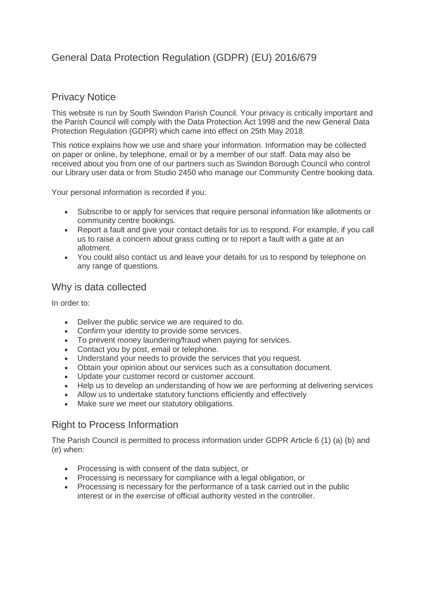# General Data Protection Regulation (GDPR) (EU) 2016/679

### Privacy Notice

This website is run by South Swindon Parish Council. Your privacy is critically important and the Parish Council will comply with the Data Protection Act 1998 and the new General Data Protection Regulation (GDPR) which came into effect on 25th May 2018.

This notice explains how we use and share your information. Information may be collected on paper or online, by telephone, email or by a member of our staff. Data may also be received about you from one of our partners such as Swindon Borough Council who control our Library user data or from Studio 2450 who manage our Community Centre booking data.

Your personal information is recorded if you:

- Subscribe to or apply for services that require personal information like allotments or community centre bookings.
- Report a fault and give your contact details for us to respond. For example, if you call us to raise a concern about grass cutting or to report a fault with a gate at an allotment.
- You could also contact us and leave your details for us to respond by telephone on any range of questions.

#### Why is data collected

In order to:

- Deliver the public service we are required to do.
- Confirm your identity to provide some services.
- To prevent money laundering/fraud when paying for services.
- Contact you by post, email or telephone.
- Understand your needs to provide the services that you request.
- Obtain your opinion about our services such as a consultation document.
- Update your customer record or customer account.
- Help us to develop an understanding of how we are performing at delivering services
- Allow us to undertake statutory functions efficiently and effectively
- Make sure we meet our statutory obligations.

## Right to Process Information

The Parish Council is permitted to process information under GDPR Article 6 (1) (a) (b) and (e) when:

- Processing is with consent of the data subject, or
- Processing is necessary for compliance with a legal obligation, or
- Processing is necessary for the performance of a task carried out in the public interest or in the exercise of official authority vested in the controller.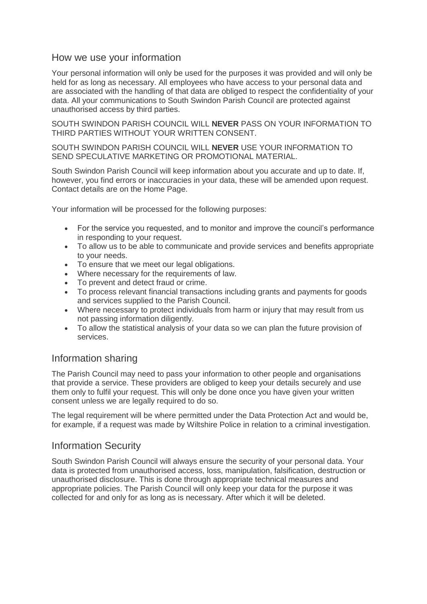#### How we use your information

Your personal information will only be used for the purposes it was provided and will only be held for as long as necessary. All employees who have access to your personal data and are associated with the handling of that data are obliged to respect the confidentiality of your data. All your communications to South Swindon Parish Council are protected against unauthorised access by third parties.

SOUTH SWINDON PARISH COUNCIL WILL **NEVER** PASS ON YOUR INFORMATION TO THIRD PARTIES WITHOUT YOUR WRITTEN CONSENT.

#### SOUTH SWINDON PARISH COUNCIL WILL **NEVER** USE YOUR INFORMATION TO SEND SPECULATIVE MARKETING OR PROMOTIONAL MATERIAL.

South Swindon Parish Council will keep information about you accurate and up to date. If, however, you find errors or inaccuracies in your data, these will be amended upon request. Contact details are on the Home Page.

Your information will be processed for the following purposes:

- For the service you requested, and to monitor and improve the council's performance in responding to your request.
- To allow us to be able to communicate and provide services and benefits appropriate to your needs.
- To ensure that we meet our legal obligations.
- Where necessary for the requirements of law.
- To prevent and detect fraud or crime.
- To process relevant financial transactions including grants and payments for goods and services supplied to the Parish Council.
- Where necessary to protect individuals from harm or injury that may result from us not passing information diligently.
- To allow the statistical analysis of your data so we can plan the future provision of services.

## Information sharing

The Parish Council may need to pass your information to other people and organisations that provide a service. These providers are obliged to keep your details securely and use them only to fulfil your request. This will only be done once you have given your written consent unless we are legally required to do so.

The legal requirement will be where permitted under the Data Protection Act and would be, for example, if a request was made by Wiltshire Police in relation to a criminal investigation.

#### Information Security

South Swindon Parish Council will always ensure the security of your personal data. Your data is protected from unauthorised access, loss, manipulation, falsification, destruction or unauthorised disclosure. This is done through appropriate technical measures and appropriate policies. The Parish Council will only keep your data for the purpose it was collected for and only for as long as is necessary. After which it will be deleted.